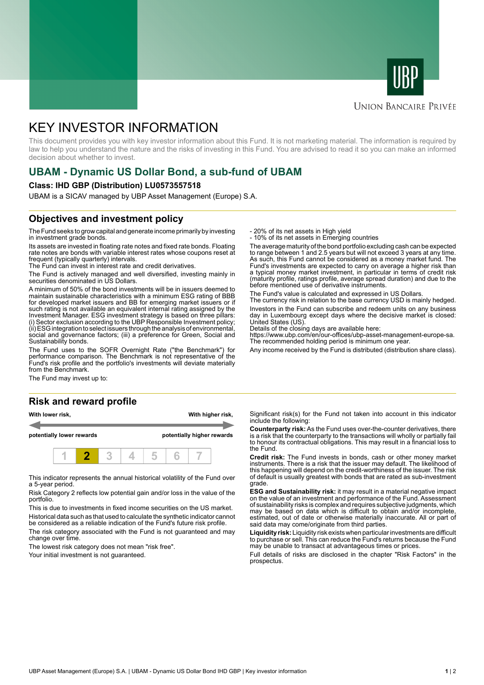



# **UNION BANCAIRE PRIVÉE**

# KEY INVESTOR INFORMATION

This document provides you with key investor information about this Fund. It is not marketing material. The information is required by law to help you understand the nature and the risks of investing in this Fund. You are advised to read it so you can make an informed decision about whether to invest.

# **UBAM - Dynamic US Dollar Bond, a sub-fund of UBAM**

#### **Class: IHD GBP (Distribution) LU0573557518**

UBAM is a SICAV managed by UBP Asset Management (Europe) S.A.

# **Objectives and investment policy**

The Fund seeks to grow capital and generate income primarily by investing in investment grade bonds.

Its assets are invested in floating rate notes and fixed rate bonds. Floating rate notes are bonds with variable interest rates whose coupons reset at frequent (typically quarterly) intervals.

The Fund can invest in interest rate and credit derivatives.

The Fund is actively managed and well diversified, investing mainly in securities denominated in US Dollars.

A minimum of 50% of the bond investments will be in issuers deemed to maintain sustainable characteristics with a minimum ESG rating of BBB for developed market issuers and BB for emerging market issuers or if such rating is not available an equivalent internal rating assigned by the Investment Manager. ESG investment strategy is based on three pillars: (i) Sector exclusion according to the UBP Responsible Investment policy; (ii) ESG integration to select issuers through the analysis of environmental, social and governance factors; (iii) a preference for Green, Social and Sustainability bonds.

The Fund uses to the SOFR Overnight Rate ("the Benchmark") for performance comparison. The Benchmark is not representative of the Fund's risk profile and the portfolio's investments will deviate materially from the Benchmark.

The Fund may invest up to:

### **Risk and reward profile**





This indicator represents the annual historical volatility of the Fund over a 5-year period.

Risk Category 2 reflects low potential gain and/or loss in the value of the portfolio.

This is due to investments in fixed income securities on the US market. Historical data such as that used to calculate the synthetic indicator cannot be considered as a reliable indication of the Fund's future risk profile.

The risk category associated with the Fund is not guaranteed and may change over time.

The lowest risk category does not mean "risk free".

Your initial investment is not guaranteed.

- 20% of its net assets in High yield

- 10% of its net assets in Emerging countries

The average maturity of the bond portfolio excluding cash can be expected to range between 1 and 2.5 years but will not exceed 3 years at any time. As such, this Fund cannot be considered as a money market fund. The Fund's investments are expected to carry on average a higher risk than a typical money market investment, in particular in terms of credit risk (maturity profile, ratings profile, average spread duration) and due to the before mentioned use of derivative instruments.

The Fund's value is calculated and expressed in US Dollars.

The currency risk in relation to the base currency USD is mainly hedged. Investors in the Fund can subscribe and redeem units on any business day in Luxembourg except days where the decisive market is closed:

United States (US). Details of the closing days are available here:

https://www.ubp.com/en/our-offices/ubp-asset-management-europe-sa. The recommended holding period is minimum one year.

Any income received by the Fund is distributed (distribution share class).

Significant risk(s) for the Fund not taken into account in this indicator include the following:

**Counterparty risk:** As the Fund uses over-the-counter derivatives, there is a risk that the counterparty to the transactions will wholly or partially fail to honour its contractual obligations. This may result in a financial loss to the Fund.

**Credit risk:** The Fund invests in bonds, cash or other money market instruments. There is a risk that the issuer may default. The likelihood of this happening will depend on the credit-worthiness of the issuer. The risk of default is usually greatest with bonds that are rated as sub-investment grade.

**ESG and Sustainability risk:** it may result in a material negative impact on the value of an investment and performance of the Fund. Assessment of sustainability risks is complex and requires subjective judgments, which may be based on data which is difficult to obtain and/or incomplete, estimated, out of date or otherwise materially inaccurate. All or part of said data may come/originate from third parties.

**Liquidity risk:** Liquidity risk exists when particular investments are difficult to purchase or sell. This can reduce the Fund's returns because the Fund may be unable to transact at advantageous times or prices.

Full details of risks are disclosed in the chapter "Risk Factors" in the prospectus.

UBP Asset Management (Europe) S.A. | UBAM - Dynamic US Dollar Bond IHD GBP | Key investor information **1** | 2